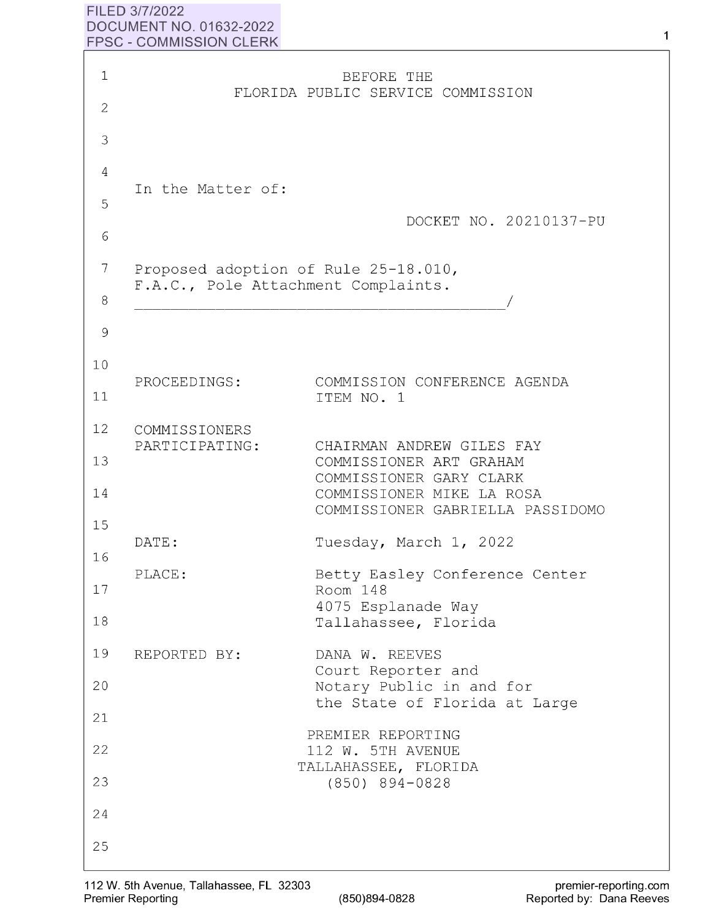## **FILED 3/7/2022 DOCUMENT NO. 01632-2022 FPSC** - **COMMISSION CLERK**

| $\mathbf 1$   |                                                                             | BEFORE THE                                                                      |
|---------------|-----------------------------------------------------------------------------|---------------------------------------------------------------------------------|
| $\mathbf{2}$  |                                                                             | FLORIDA PUBLIC SERVICE COMMISSION                                               |
| 3             |                                                                             |                                                                                 |
| 4             |                                                                             |                                                                                 |
| 5             | In the Matter of:                                                           |                                                                                 |
| 6             |                                                                             | DOCKET NO. 20210137-PU                                                          |
| 7             | Proposed adoption of Rule 25-18.010,<br>F.A.C., Pole Attachment Complaints. |                                                                                 |
| 8             |                                                                             |                                                                                 |
| $\mathcal{G}$ |                                                                             |                                                                                 |
| 10            |                                                                             |                                                                                 |
| 11            | PROCEEDINGS:                                                                | COMMISSION CONFERENCE AGENDA<br>ITEM NO. 1                                      |
| 12            | COMMISSIONERS                                                               |                                                                                 |
| 13            | PARTICIPATING:                                                              | CHAIRMAN ANDREW GILES FAY<br>COMMISSIONER ART GRAHAM<br>COMMISSIONER GARY CLARK |
| 14            |                                                                             | COMMISSIONER MIKE LA ROSA<br>COMMISSIONER GABRIELLA PASSIDOMO                   |
| 15<br>16      | DATE:                                                                       | Tuesday, March 1, 2022                                                          |
| 17            | PLACE:                                                                      | Betty Easley Conference Center<br>Room 148                                      |
| 18            |                                                                             | 4075 Esplanade Way<br>Tallahassee, Florida                                      |
| 19            | REPORTED BY:                                                                | DANA W. REEVES                                                                  |
| 20            |                                                                             | Court Reporter and<br>Notary Public in and for                                  |
| 21            |                                                                             | the State of Florida at Large                                                   |
| 22            |                                                                             | PREMIER REPORTING<br>112 W. 5TH AVENUE                                          |
| 23            |                                                                             | TALLAHASSEE, FLORIDA<br>$(850)$ 894-0828                                        |
| 24            |                                                                             |                                                                                 |
| 25            |                                                                             |                                                                                 |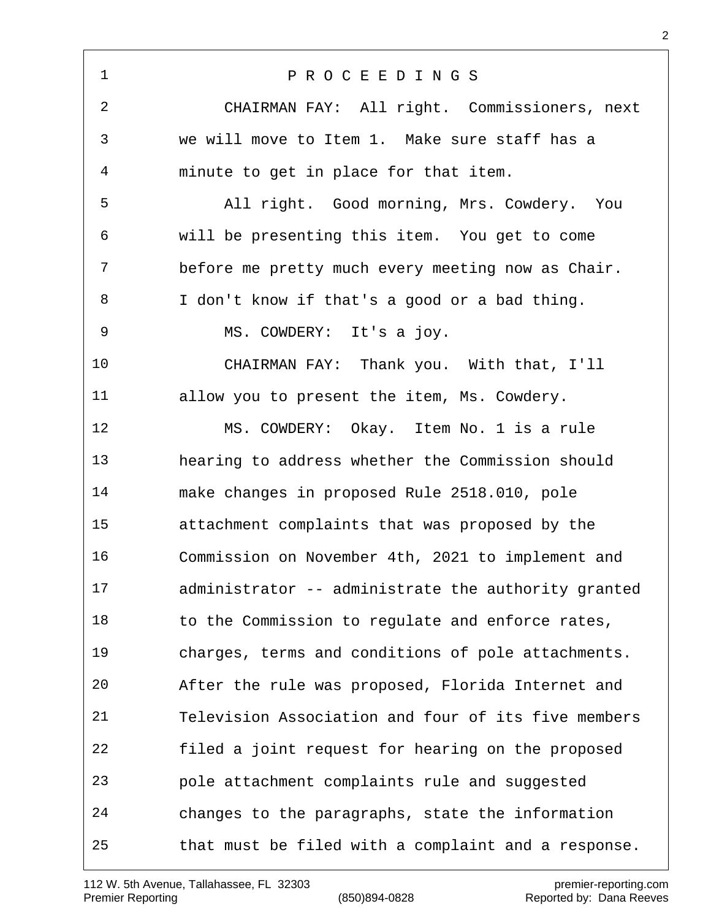P R O C E E D I N G S CHAIRMAN FAY: All right. Commissioners, next we will move to Item 1. Make sure staff has a minute to get in place for that item. All right. Good morning, Mrs. Cowdery. You will be presenting this item. You get to come before me pretty much every meeting now as Chair. I don't know if that's a good or a bad thing. MS. COWDERY: It's a joy. CHAIRMAN FAY: Thank you. With that, I'll allow you to present the item, Ms. Cowdery. MS. COWDERY: Okay. Item No. 1 is a rule hearing to address whether the Commission should make changes in proposed Rule 2518.010, pole attachment complaints that was proposed by the Commission on November 4th, 2021 to implement and administrator -- administrate the authority granted 18 to the Commission to regulate and enforce rates, charges, terms and conditions of pole attachments. After the rule was proposed, Florida Internet and Television Association and four of its five members filed a joint request for hearing on the proposed pole attachment complaints rule and suggested changes to the paragraphs, state the information that must be filed with a complaint and a response.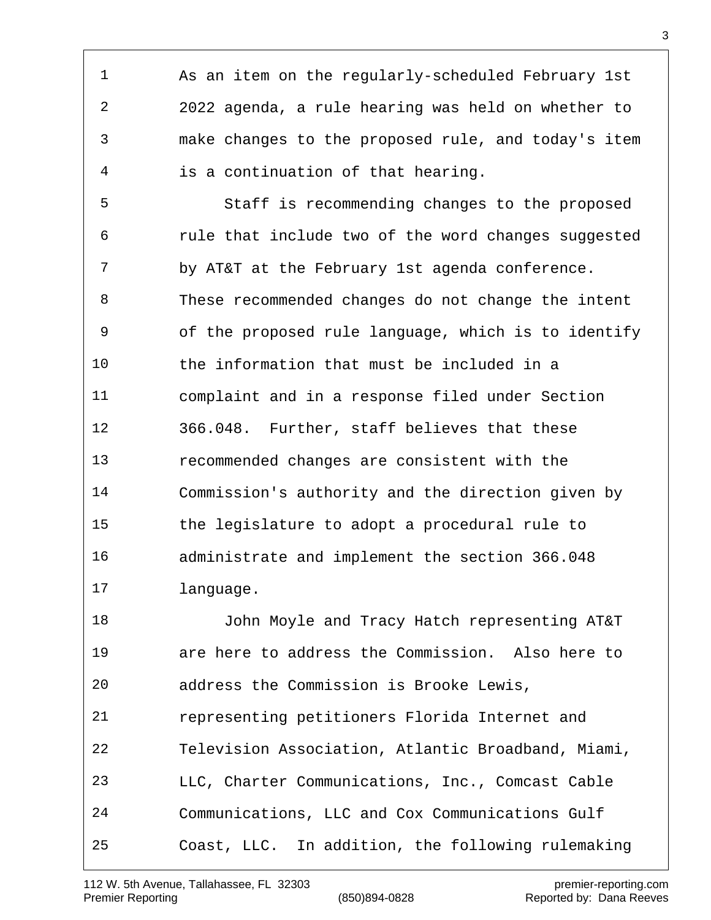As an item on the regularly-scheduled February 1st 2022 agenda, a rule hearing was held on whether to make changes to the proposed rule, and today's item is a continuation of that hearing. Staff is recommending changes to the proposed rule that include two of the word changes suggested 7 by AT&T at the February 1st agenda conference. These recommended changes do not change the intent of the proposed rule language, which is to identify the information that must be included in a complaint and in a response filed under Section 366.048. Further, staff believes that these recommended changes are consistent with the Commission's authority and the direction given by the legislature to adopt a procedural rule to administrate and implement the section 366.048 language. John Moyle and Tracy Hatch representing AT&T are here to address the Commission. Also here to address the Commission is Brooke Lewis, representing petitioners Florida Internet and Television Association, Atlantic Broadband, Miami, LLC, Charter Communications, Inc., Comcast Cable Communications, LLC and Cox Communications Gulf Coast, LLC. In addition, the following rulemaking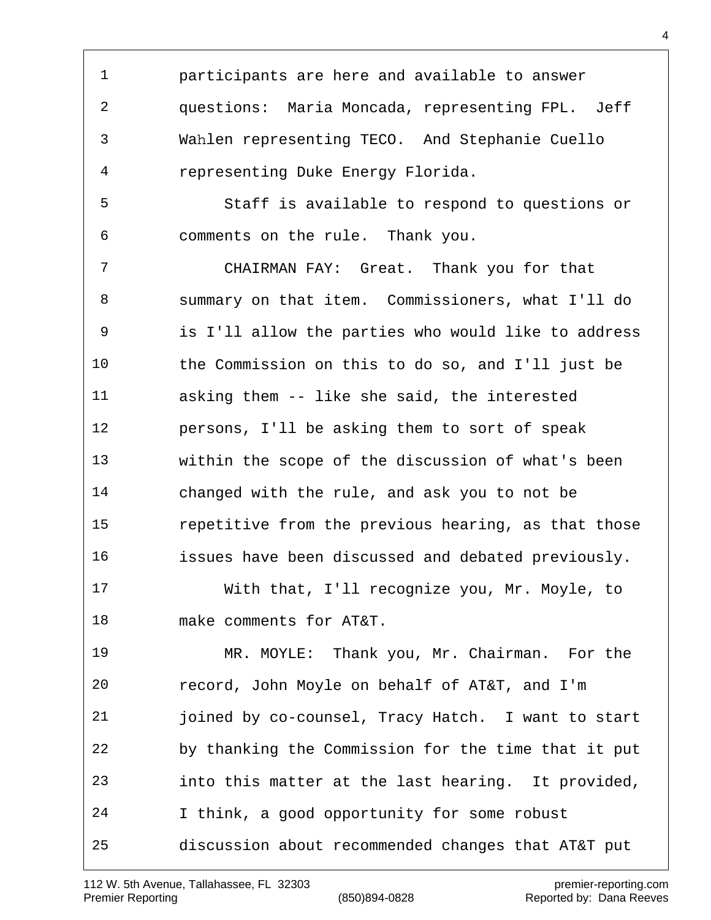1 2 3 4 5 6 7 8 9 10 11 12 13 14 15 16 17 18 19 20 21 22 23 24 participants are here and available to answer questions: Maria Moncada, representing FPL. Jeff Wahlen representing TECO. And Stephanie Cuello representing Duke Energy Florida. Staff is available to respond to questions or comments on the rule. Thank you. CHAIRMAN FAY: Great. Thank you for that summary on that item. Commissioners, what I'll do is I'll allow the parties who would like to address the Commission on this to do so, and I'll just be asking them -- like she said, the interested persons, I'll be asking them to sort of speak within the scope of the discussion of what's been changed with the rule, and ask you to not be repetitive from the previous hearing, as that those issues have been discussed and debated previously. With that, I'll recognize you, Mr. Moyle, to make comments for AT&T. MR. MOYLE: Thank you, Mr. Chairman. For the record, John Moyle on behalf of AT&T, and I'm joined by co-counsel, Tracy Hatch. I want to start by thanking the Commission for the time that it put into this matter at the last hearing. It provided, I think, a good opportunity for some robust

25 discussion about recommended changes that AT&T put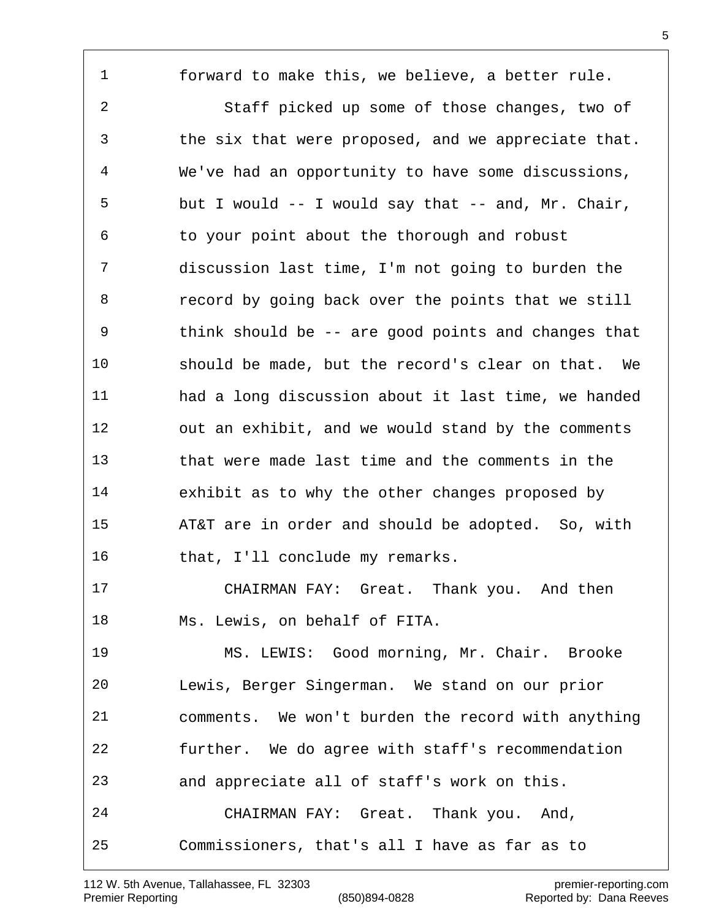forward to make this, we believe, a better rule.

 Staff picked up some of those changes, two of the six that were proposed, and we appreciate that. We've had an opportunity to have some discussions, but I would -- I would say that -- and, Mr. Chair, to your point about the thorough and robust discussion last time, I'm not going to burden the record by going back over the points that we still think should be -- are good points and changes that should be made, but the record's clear on that. We had a long discussion about it last time, we handed out an exhibit, and we would stand by the comments that were made last time and the comments in the exhibit as to why the other changes proposed by AT&T are in order and should be adopted. So, with 16 that, I'll conclude my remarks.

 CHAIRMAN FAY: Great. Thank you. And then Ms. Lewis, on behalf of FITA.

 MS. LEWIS: Good morning, Mr. Chair. Brooke Lewis, Berger Singerman. We stand on our prior comments. We won't burden the record with anything further. We do agree with staff's recommendation and appreciate all of staff's work on this. CHAIRMAN FAY: Great. Thank you. And, Commissioners, that's all I have as far as to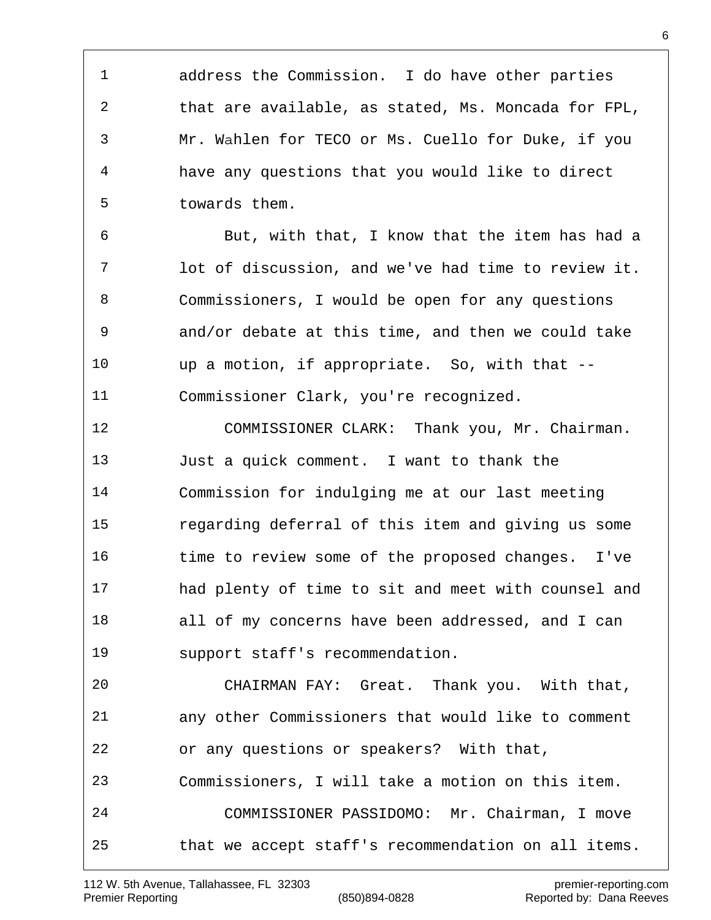1 2 3 4 5 address the Commission. I do have other parties that are available, as stated, Ms. Moncada for FPL, Mr. Wahlen for TECO or Ms. Cuello for Duke, if you have any questions that you would like to direct towards them.

 6 7 8 9 10 11 But, with that, I know that the item has had a lot of discussion, and we've had time to review it. Commissioners, I would be open for any questions and/or debate at this time, and then we could take up a motion, if appropriate. So, with that -- Commissioner Clark, you're recognized.

12 13 14 15 16 17 18 19 COMMISSIONER CLARK: Thank you, Mr. Chairman. Just a quick comment. I want to thank the Commission for indulging me at our last meeting regarding deferral of this item and giving us some time to review some of the proposed changes. I've had plenty of time to sit and meet with counsel and all of my concerns have been addressed, and I can support staff's recommendation.

20 21 22 23 24 25 CHAIRMAN FAY: Great. Thank you. With that, any other Commissioners that would like to comment or any questions or speakers? With that, Commissioners, I will take a motion on this item. COMMISSIONER PASSIDOMO: Mr. Chairman, I move that we accept staff's recommendation on all items.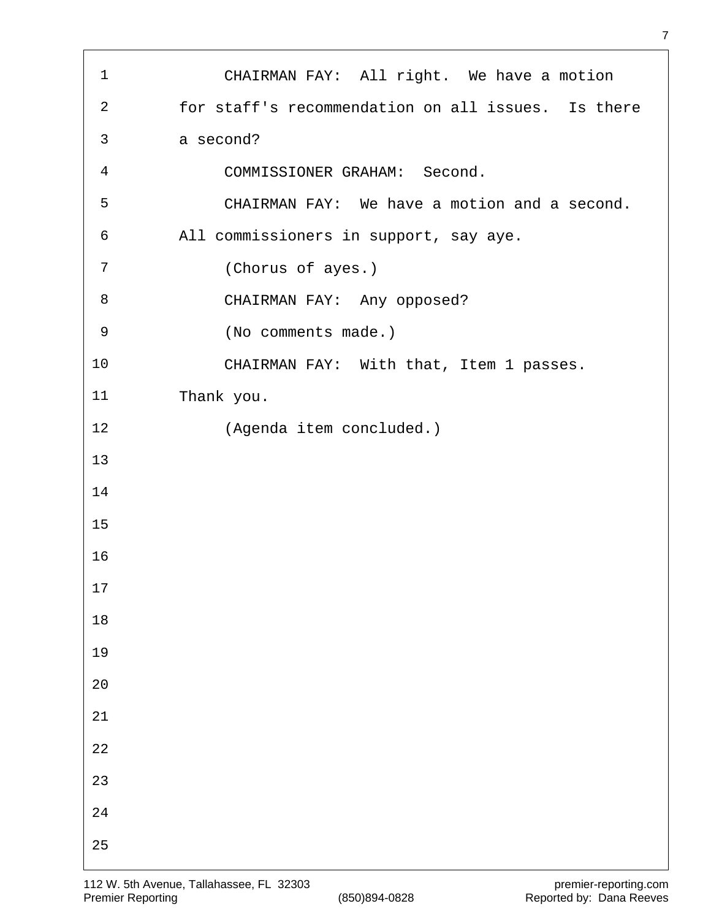| $\mathbf{1}$   | CHAIRMAN FAY: All right. We have a motion          |
|----------------|----------------------------------------------------|
| $\overline{2}$ | for staff's recommendation on all issues. Is there |
| 3              | a second?                                          |
| $\overline{4}$ | COMMISSIONER GRAHAM: Second.                       |
| 5              | CHAIRMAN FAY: We have a motion and a second.       |
| 6              | All commissioners in support, say aye.             |
| 7              | (Chorus of ayes.)                                  |
| 8              | CHAIRMAN FAY: Any opposed?                         |
| 9              | (No comments made.)                                |
| 10             | CHAIRMAN FAY: With that, Item 1 passes.            |
| 11             | Thank you.                                         |
| 12             | (Agenda item concluded.)                           |
| 13             |                                                    |
| 14             |                                                    |
| 15             |                                                    |
| 16             |                                                    |
| 17             |                                                    |
| $18\,$         |                                                    |
| 19             |                                                    |
| $20$           |                                                    |
| $21\,$         |                                                    |
| $2\sqrt{2}$    |                                                    |
| 23             |                                                    |
| $2\sqrt{4}$    |                                                    |
| 25             |                                                    |